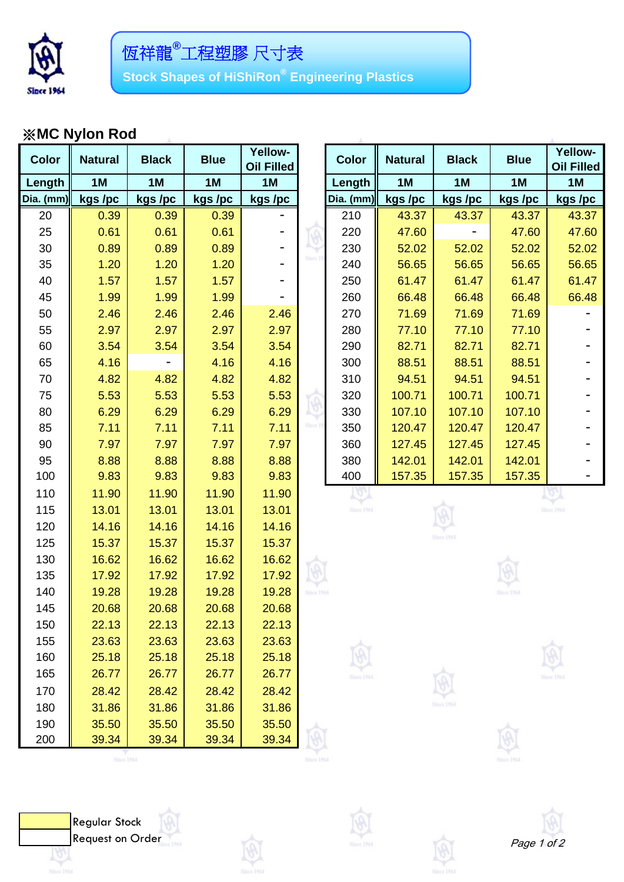

## ※**MC Nylon Rod**

| <b>Color</b> | <b>Natural</b> | <b>Black</b> | <b>Blue</b> | <b>Yellow-</b><br><b>Oil Filled</b> |                   | <b>Color</b> | <b>Natural</b> | <b>Black</b>      | <b>Blue</b> | Yellow-<br><b>Oil Filled</b> |
|--------------|----------------|--------------|-------------|-------------------------------------|-------------------|--------------|----------------|-------------------|-------------|------------------------------|
| Length       | 1M             | 1M           | 1M          | 1M                                  |                   | Length       | 1M             | 1M                | 1M          | 1M                           |
| Dia. $(mm)$  | kgs /pc        | kgs /pc      | kgs /pc     | kgs /pc                             |                   | Dia. (mm)    | kgs /pc        | kgs/pc            | kgs /pc     | kgs /pc                      |
| 20           | 0.39           | 0.39         | 0.39        |                                     |                   | 210          | 43.37          | 43.37             | 43.37       | 43.37                        |
| 25           | 0.61           | 0.61         | 0.61        |                                     |                   | 220          | 47.60          |                   | 47.60       | 47.60                        |
| 30           | 0.89           | 0.89         | 0.89        |                                     |                   | 230          | 52.02          | 52.02             | 52.02       | 52.02                        |
| 35           | 1.20           | 1.20         | 1.20        |                                     | Since 15          | 240          | 56.65          | 56.65             | 56.65       | 56.65                        |
| 40           | 1.57           | 1.57         | 1.57        |                                     |                   | 250          | 61.47          | 61.47             | 61.47       | 61.47                        |
| 45           | 1.99           | 1.99         | 1.99        |                                     |                   | 260          | 66.48          | 66.48             | 66.48       | 66.48                        |
| 50           | 2.46           | 2.46         | 2.46        | 2.46                                |                   | 270          | 71.69          | 71.69             | 71.69       |                              |
| 55           | 2.97           | 2.97         | 2.97        | 2.97                                |                   | 280          | 77.10          | 77.10             | 77.10       |                              |
| 60           | 3.54           | 3.54         | 3.54        | 3.54                                |                   | 290          | 82.71          | 82.71             | 82.71       |                              |
| 65           | 4.16           |              | 4.16        | 4.16                                |                   | 300          | 88.51          | 88.51             | 88.51       |                              |
| 70           | 4.82           | 4.82         | 4.82        | 4.82                                |                   | 310          | 94.51          | 94.51             | 94.51       |                              |
| 75           | 5.53           | 5.53         | 5.53        | 5.53                                |                   | 320          | 100.71         | 100.71            | 100.71      |                              |
| 80           | 6.29           | 6.29         | 6.29        | 6.29                                |                   | 330          | 107.10         | 107.10            | 107.10      |                              |
| 85           | 7.11           | 7.11         | 7.11        | 7.11                                | Since 1!          | 350          | 120.47         | 120.47            | 120.47      |                              |
| 90           | 7.97           | 7.97         | 7.97        | 7.97                                |                   | 360          | 127.45         | 127.45            | 127.45      |                              |
| 95           | 8.88           | 8.88         | 8.88        | 8.88                                |                   | 380          | 142.01         | 142.01            | 142.01      |                              |
| 100          | 9.83           | 9.83         | 9.83        | 9.83                                |                   | 400          | 157.35         | 157.35            | 157.35      |                              |
| 110          | 11.90          | 11.90        | 11.90       | 11.90                               |                   |              |                |                   |             |                              |
| 115          | 13.01          | 13.01        | 13.01       | 13.01                               |                   | Since 1964   |                |                   |             | <b>Since 1964</b>            |
| 120          | 14.16          | 14.16        | 14.16       | 14.16                               |                   |              |                |                   |             |                              |
| 125          | 15.37          | 15.37        | 15.37       | 15.37                               |                   |              |                | <b>Since 1964</b> |             |                              |
| 130          | 16.62          | 16.62        | 16.62       | 16.62                               |                   |              |                |                   |             |                              |
| 135          | 17.92          | 17.92        | 17.92       | 17.92                               |                   |              |                |                   |             |                              |
| 140          | 19.28          | 19.28        | 19.28       | 19.28                               | <b>Since 1964</b> |              |                |                   | Since 1964  |                              |
| 145          | 20.68          | 20.68        | 20.68       | 20.68                               |                   |              |                |                   |             |                              |
| 150          | 22.13          | 22.13        | 22.13       | 22.13                               |                   |              |                |                   |             |                              |
| 155          | 23.63          | 23.63        | 23.63       | 23.63                               |                   |              |                |                   |             |                              |
| 160          | 25.18          | 25.18        | 25.18       | 25.18                               |                   |              |                |                   |             |                              |
| 165          | 26.77          | 26.77        | 26.77       | 26.77                               |                   | Since 1964   |                |                   |             | Since 1964                   |
| 170          | 28.42          | 28.42        | 28.42       | 28.42                               |                   |              |                |                   |             |                              |
| 180          | 31.86          | 31.86        | 31.86       | 31.86                               |                   |              |                | Since 1964        |             |                              |
| 190          | 35.50          | 35.50        | 35.50       | 35.50                               |                   |              |                |                   |             |                              |
| 200          | 39.34          | 39.34        | 39.34       | 39.34                               |                   |              |                |                   |             |                              |
|              |                |              |             |                                     |                   |              |                |                   |             |                              |